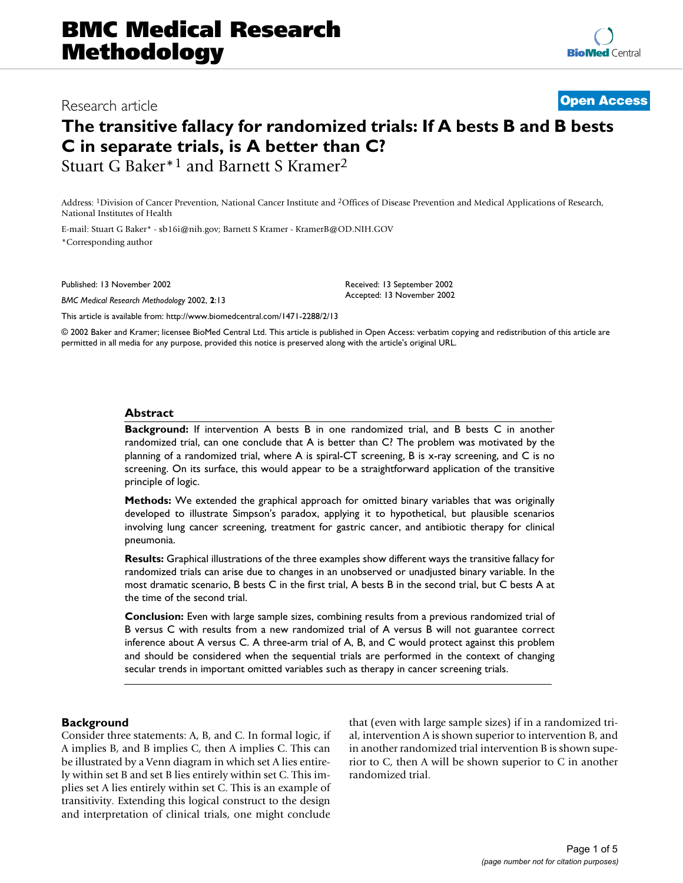## BMC Mesearch article **Contract Research Access** Research article 2002, 2 x  $\sigma$  **[Open Access](http://www.biomedcentral.com/info/about/charter/)** Research article

# **The transitive fallacy for randomized trials: If A bests B and B bests C in separate trials, is A better than C?**

Stuart G Baker\*1 and Barnett S Kramer2

Address: 1Division of Cancer Prevention, National Cancer Institute and 2Offices of Disease Prevention and Medical Applications of Research, National Institutes of Health

E-mail: Stuart G Baker\* - sb16i@nih.gov; Barnett S Kramer - KramerB@OD.NIH.GOV \*Corresponding author

Published: 13 November 2002

*BMC Medical Research Methodology* 2002, **2**:13

Received: 13 September 2002 Accepted: 13 November 2002

[This article is available from: http://www.biomedcentral.com/1471-2288/2/13](http://www.biomedcentral.com/1471-2288/2/13)

© 2002 Baker and Kramer; licensee BioMed Central Ltd. This article is published in Open Access: verbatim copying and redistribution of this article are permitted in all media for any purpose, provided this notice is preserved along with the article's original URL.

#### **Abstract**

**Background:** If intervention A bests B in one randomized trial, and B bests C in another randomized trial, can one conclude that A is better than C? The problem was motivated by the planning of a randomized trial, where A is spiral-CT screening, B is x-ray screening, and C is no screening. On its surface, this would appear to be a straightforward application of the transitive principle of logic.

**Methods:** We extended the graphical approach for omitted binary variables that was originally developed to illustrate Simpson's paradox, applying it to hypothetical, but plausible scenarios involving lung cancer screening, treatment for gastric cancer, and antibiotic therapy for clinical pneumonia.

**Results:** Graphical illustrations of the three examples show different ways the transitive fallacy for randomized trials can arise due to changes in an unobserved or unadjusted binary variable. In the most dramatic scenario, B bests C in the first trial, A bests B in the second trial, but C bests A at the time of the second trial.

**Conclusion:** Even with large sample sizes, combining results from a previous randomized trial of B versus C with results from a new randomized trial of A versus B will not guarantee correct inference about A versus C. A three-arm trial of A, B, and C would protect against this problem and should be considered when the sequential trials are performed in the context of changing secular trends in important omitted variables such as therapy in cancer screening trials.

#### **Background**

Consider three statements: A, B, and C. In formal logic, if A implies B, and B implies C, then A implies C. This can be illustrated by a Venn diagram in which set A lies entirely within set B and set B lies entirely within set C. This implies set A lies entirely within set C. This is an example of transitivity. Extending this logical construct to the design and interpretation of clinical trials, one might conclude that (even with large sample sizes) if in a randomized trial, intervention A is shown superior to intervention B, and in another randomized trial intervention B is shown superior to C, then A will be shown superior to C in another randomized trial.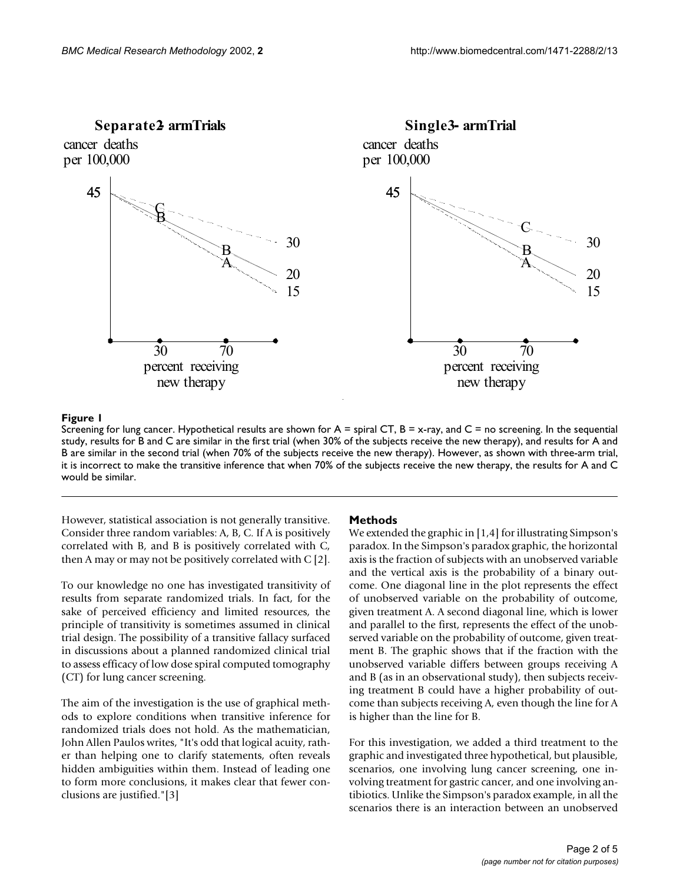

#### **Figure 1**

Screening for lung cancer. Hypothetical results are shown for  $A =$  spiral CT,  $B = x$ -ray, and  $C =$  no screening. In the sequential study, results for B and C are similar in the first trial (when 30% of the subjects receive the new therapy), and results for A and B are similar in the second trial (when 70% of the subjects receive the new therapy). However, as shown with three-arm trial, it is incorrect to make the transitive inference that when 70% of the subjects receive the new therapy, the results for A and C would be similar.

However, statistical association is not generally transitive. Consider three random variables: A, B, C. If A is positively correlated with B, and B is positively correlated with C, then A may or may not be positively correlated with C [2].

To our knowledge no one has investigated transitivity of results from separate randomized trials. In fact, for the sake of perceived efficiency and limited resources, the principle of transitivity is sometimes assumed in clinical trial design. The possibility of a transitive fallacy surfaced in discussions about a planned randomized clinical trial to assess efficacy of low dose spiral computed tomography (CT) for lung cancer screening.

The aim of the investigation is the use of graphical methods to explore conditions when transitive inference for randomized trials does not hold. As the mathematician, John Allen Paulos writes, "It's odd that logical acuity, rather than helping one to clarify statements, often reveals hidden ambiguities within them. Instead of leading one to form more conclusions, it makes clear that fewer conclusions are justified."[3]

#### **Methods**

We extended the graphic in [1,4] for illustrating Simpson's paradox. In the Simpson's paradox graphic, the horizontal axis is the fraction of subjects with an unobserved variable and the vertical axis is the probability of a binary outcome. One diagonal line in the plot represents the effect of unobserved variable on the probability of outcome, given treatment A. A second diagonal line, which is lower and parallel to the first, represents the effect of the unobserved variable on the probability of outcome, given treatment B. The graphic shows that if the fraction with the unobserved variable differs between groups receiving A and B (as in an observational study), then subjects receiving treatment B could have a higher probability of outcome than subjects receiving A, even though the line for A is higher than the line for B.

For this investigation, we added a third treatment to the graphic and investigated three hypothetical, but plausible, scenarios, one involving lung cancer screening, one involving treatment for gastric cancer, and one involving antibiotics. Unlike the Simpson's paradox example, in all the scenarios there is an interaction between an unobserved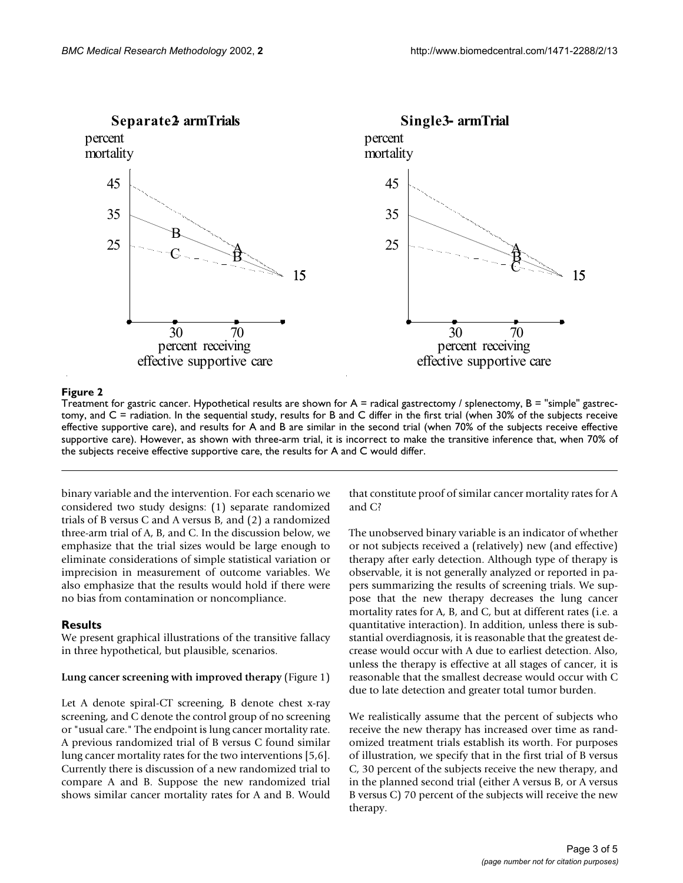

#### **Figure 2**

Treatment for gastric cancer. Hypothetical results are shown for  $A =$  radical gastrectomy / splenectomy,  $B =$  "simple" gastrectomy, and C = radiation. In the sequential study, results for B and C differ in the first trial (when 30% of the subjects receive effective supportive care), and results for A and B are similar in the second trial (when 70% of the subjects receive effective supportive care). However, as shown with three-arm trial, it is incorrect to make the transitive inference that, when 70% of the subjects receive effective supportive care, the results for A and C would differ.

binary variable and the intervention. For each scenario we considered two study designs: (1) separate randomized trials of B versus C and A versus B, and (2) a randomized three-arm trial of A, B, and C. In the discussion below, we emphasize that the trial sizes would be large enough to eliminate considerations of simple statistical variation or imprecision in measurement of outcome variables. We also emphasize that the results would hold if there were no bias from contamination or noncompliance.

#### **Results**

We present graphical illustrations of the transitive fallacy in three hypothetical, but plausible, scenarios.

#### **Lung cancer screening with improved therapy** (Figure 1)

Let A denote spiral-CT screening, B denote chest x-ray screening, and C denote the control group of no screening or "usual care." The endpoint is lung cancer mortality rate. A previous randomized trial of B versus C found similar lung cancer mortality rates for the two interventions [5,6]. Currently there is discussion of a new randomized trial to compare A and B. Suppose the new randomized trial shows similar cancer mortality rates for A and B. Would that constitute proof of similar cancer mortality rates for A and C?

The unobserved binary variable is an indicator of whether or not subjects received a (relatively) new (and effective) therapy after early detection. Although type of therapy is observable, it is not generally analyzed or reported in papers summarizing the results of screening trials. We suppose that the new therapy decreases the lung cancer mortality rates for A, B, and C, but at different rates (i.e. a quantitative interaction). In addition, unless there is substantial overdiagnosis, it is reasonable that the greatest decrease would occur with A due to earliest detection. Also, unless the therapy is effective at all stages of cancer, it is reasonable that the smallest decrease would occur with C due to late detection and greater total tumor burden.

We realistically assume that the percent of subjects who receive the new therapy has increased over time as randomized treatment trials establish its worth. For purposes of illustration, we specify that in the first trial of B versus C, 30 percent of the subjects receive the new therapy, and in the planned second trial (either A versus B, or A versus B versus C) 70 percent of the subjects will receive the new therapy.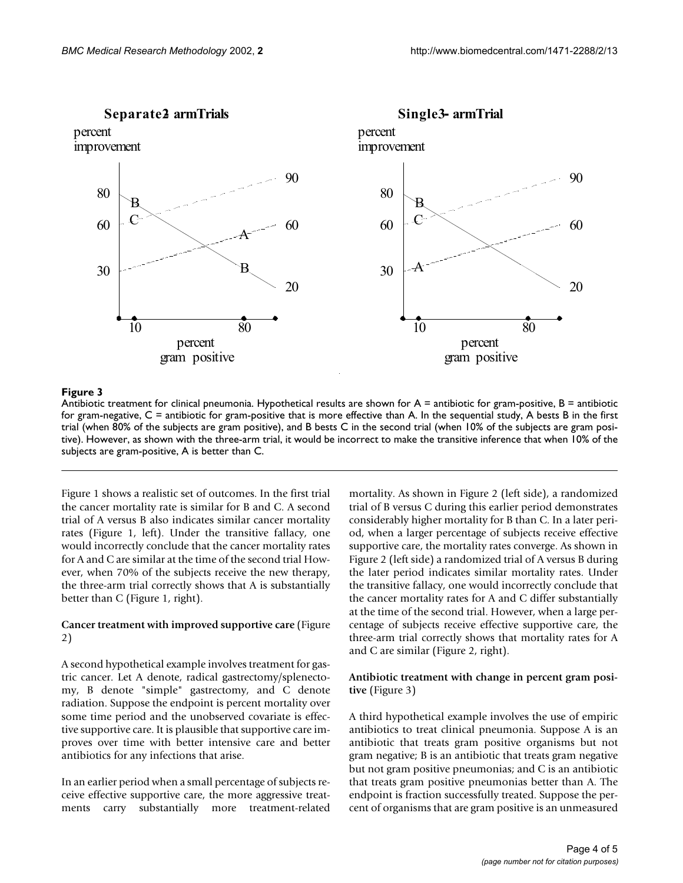

#### **Figure 3**

Antibiotic treatment for clinical pneumonia. Hypothetical results are shown for  $A =$  antibiotic for gram-positive,  $B =$  antibiotic for gram-negative, C = antibiotic for gram-positive that is more effective than A. In the sequential study, A bests B in the first trial (when 80% of the subjects are gram positive), and B bests C in the second trial (when 10% of the subjects are gram positive). However, as shown with the three-arm trial, it would be incorrect to make the transitive inference that when 10% of the subjects are gram-positive, A is better than C.

Figure 1 shows a realistic set of outcomes. In the first trial the cancer mortality rate is similar for B and C. A second trial of A versus B also indicates similar cancer mortality rates (Figure 1, left). Under the transitive fallacy, one would incorrectly conclude that the cancer mortality rates for A and C are similar at the time of the second trial However, when 70% of the subjects receive the new therapy, the three-arm trial correctly shows that A is substantially better than C (Figure 1, right).

#### **Cancer treatment with improved supportive care** (Figure 2)

A second hypothetical example involves treatment for gastric cancer. Let A denote, radical gastrectomy/splenectomy, B denote "simple" gastrectomy, and C denote radiation. Suppose the endpoint is percent mortality over some time period and the unobserved covariate is effective supportive care. It is plausible that supportive care improves over time with better intensive care and better antibiotics for any infections that arise.

In an earlier period when a small percentage of subjects receive effective supportive care, the more aggressive treatments carry substantially more treatment-related

mortality. As shown in Figure 2 (left side), a randomized trial of B versus C during this earlier period demonstrates considerably higher mortality for B than C. In a later period, when a larger percentage of subjects receive effective supportive care, the mortality rates converge. As shown in Figure 2 (left side) a randomized trial of A versus B during the later period indicates similar mortality rates. Under the transitive fallacy, one would incorrectly conclude that the cancer mortality rates for A and C differ substantially at the time of the second trial. However, when a large percentage of subjects receive effective supportive care, the three-arm trial correctly shows that mortality rates for A and C are similar (Figure 2, right).

#### **Antibiotic treatment with change in percent gram positive** (Figure 3)

A third hypothetical example involves the use of empiric antibiotics to treat clinical pneumonia. Suppose A is an antibiotic that treats gram positive organisms but not gram negative; B is an antibiotic that treats gram negative but not gram positive pneumonias; and C is an antibiotic that treats gram positive pneumonias better than A. The endpoint is fraction successfully treated. Suppose the percent of organisms that are gram positive is an unmeasured